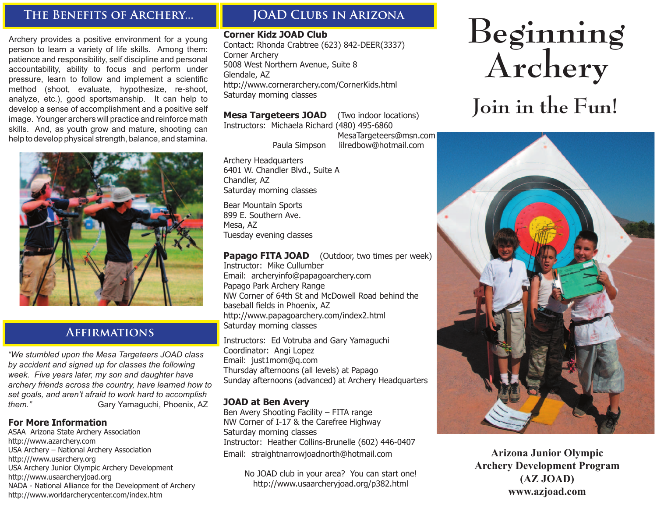# **The Benefits of Archery...**

Archery provides a positive environment for a young person to learn a variety of life skills. Among them: patience and responsibility, self discipline and personal accountability, ability to focus and perform under pressure, learn to follow and implement a scientific method (shoot, evaluate, hypothesize, re-shoot, analyze, etc.), good sportsmanship. It can help to develop a sense of accomplishment and a positive self image. Younger archers will practice and reinforce math skills. And, as youth grow and mature, shooting can help to develop physical strength, balance, and stamina.



# **Affirmations**

*"We stumbled upon the Mesa Targeteers JOAD class by accident and signed up for classes the following week. Five years later, my son and daughter have archery friends across the country, have learned how to set goals, and aren't afraid to work hard to accomplish them."* **Gary Yamaguchi, Phoenix, AZ** 

#### **For More Information**

ASAA Arizona State Archery Association http://www.azarchery.com USA Archery – National Archery Association http:///www.usarchery.org USA Archery Junior Olympic Archery Development http://www.usaarcheryjoad.org NADA - National Alliance for the Development of Archery http://www.worldarcherycenter.com/index.htm

# **JOAD Clubs in Arizona**

#### **Corner Kidz JOAD Club**

Contact: Rhonda Crabtree (623) 842-DEER(3337) Corner Archery 5008 West Northern Avenue, Suite 8 Glendale, AZ http://www.cornerarchery.com/CornerKids.html Saturday morning classes

#### **Mesa Targeteers JOAD** (Two indoor locations)

Instructors: Michaela Richard (480) 495-6860

 MesaTargeteers@msn.com Paula Simpson lilredbow@hotmail.com

Archery Headquarters 6401 W. Chandler Blvd., Suite A Chandler, AZ Saturday morning classes

Bear Mountain Sports 899 E. Southern Ave. Mesa, AZ Tuesday evening classes

**Papago FITA JOAD** (Outdoor, two times per week) Instructor: Mike Cullumber Email: archeryinfo@papagoarchery.com Papago Park Archery Range NW Corner of 64th St and McDowell Road behind the baseball fields in Phoenix, AZ http://www.papagoarchery.com/index2.html Saturday morning classes

Instructors: Ed Votruba and Gary Yamaguchi Coordinator: Angi Lopez Email: just1mom@q.com Thursday afternoons (all levels) at Papago Sunday afternoons (advanced) at Archery Headquarters

#### **JOAD at Ben Avery**

Ben Avery Shooting Facility – FITA range NW Corner of I-17 & the Carefree Highway Saturday morning classes Instructor: Heather Collins-Brunelle (602) 446-0407 Email: straightnarrowjoadnorth@hotmail.com

> No JOAD club in your area? You can start one! http://www.usaarcheryjoad.org/p382.html

# **Beginning Archery**

# **Join in the Fun!**



**Arizona Junior Olympic Archery Development Program (AZ JOAD) www.azjoad.com**